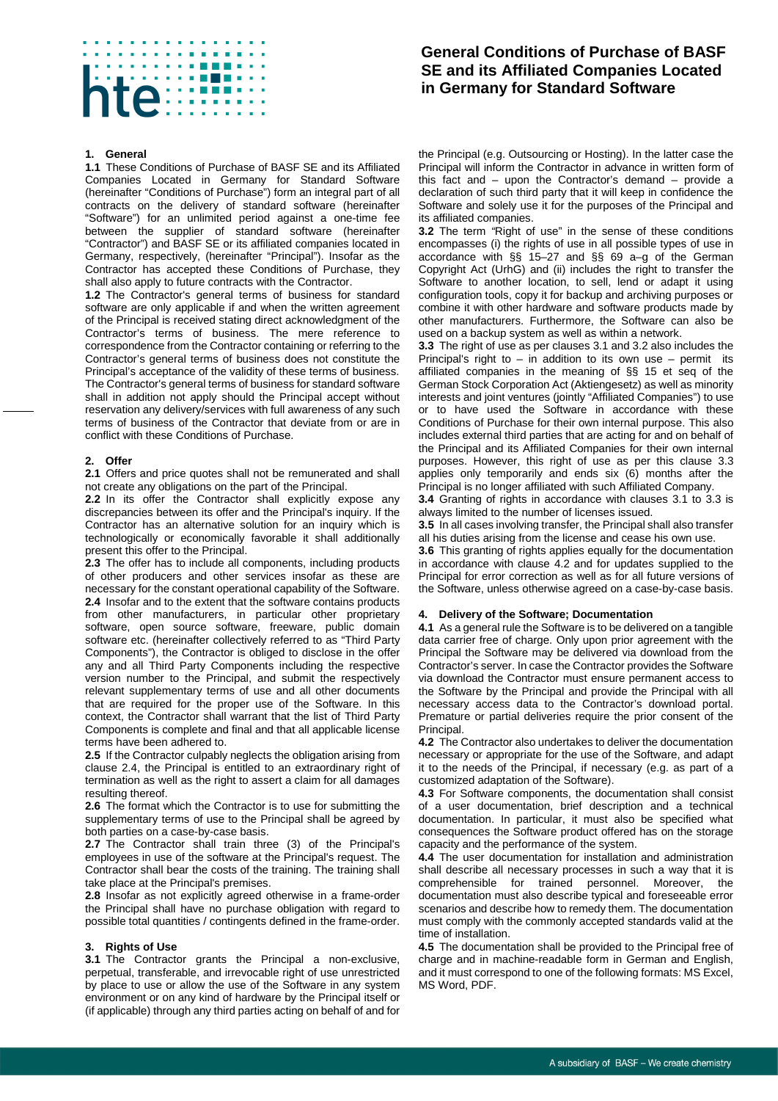# ite:

## **1. General**

**1.1** These Conditions of Purchase of BASF SE and its Affiliated Companies Located in Germany for Standard Software (hereinafter "Conditions of Purchase") form an integral part of all contracts on the delivery of standard software (hereinafter "Software") for an unlimited period against a one-time fee between the supplier of standard software (hereinafter "Contractor") and BASF SE or its affiliated companies located in Germany, respectively, (hereinafter "Principal"). Insofar as the Contractor has accepted these Conditions of Purchase, they shall also apply to future contracts with the Contractor.

**1.2** The Contractor's general terms of business for standard software are only applicable if and when the written agreement of the Principal is received stating direct acknowledgment of the Contractor's terms of business. The mere reference to correspondence from the Contractor containing or referring to the Contractor's general terms of business does not constitute the Principal's acceptance of the validity of these terms of business. The Contractor's general terms of business for standard software shall in addition not apply should the Principal accept without reservation any delivery/services with full awareness of any such terms of business of the Contractor that deviate from or are in conflict with these Conditions of Purchase.

### **2. Offer**

**2.1** Offers and price quotes shall not be remunerated and shall not create any obligations on the part of the Principal.

**2.2** In its offer the Contractor shall explicitly expose any discrepancies between its offer and the Principal's inquiry. If the Contractor has an alternative solution for an inquiry which is technologically or economically favorable it shall additionally present this offer to the Principal.

<span id="page-0-0"></span>**2.3** The offer has to include all components, including products of other producers and other services insofar as these are necessary for the constant operational capability of the Software. **2.4** Insofar and to the extent that the software contains products from other manufacturers, in particular other proprietary software, open source software, freeware, public domain software etc. (hereinafter collectively referred to as "Third Party Components"), the Contractor is obliged to disclose in the offer any and all Third Party Components including the respective version number to the Principal, and submit the respectively relevant supplementary terms of use and all other documents that are required for the proper use of the Software. In this context, the Contractor shall warrant that the list of Third Party Components is complete and final and that all applicable license terms have been adhered to.

**2.5** If the Contractor culpably neglects the obligation arising from clause [2.4,](#page-0-0) the Principal is entitled to an extraordinary right of termination as well as the right to assert a claim for all damages resulting thereof.

**2.6** The format which the Contractor is to use for submitting the supplementary terms of use to the Principal shall be agreed by both parties on a case-by-case basis.

**2.7** The Contractor shall train three (3) of the Principal's employees in use of the software at the Principal's request. The Contractor shall bear the costs of the training. The training shall take place at the Principal's premises.

**2.8** Insofar as not explicitly agreed otherwise in a frame-order the Principal shall have no purchase obligation with regard to possible total quantities / contingents defined in the frame-order.

### **3. Rights of Use**

<span id="page-0-1"></span>**3.1** The Contractor grants the Principal a non-exclusive, perpetual, transferable, and irrevocable right of use unrestricted by place to use or allow the use of the Software in any system environment or on any kind of hardware by the Principal itself or (if applicable) through any third parties acting on behalf of and for

# **General Conditions of Purchase of BASF SE and its Affiliated Companies Located in Germany for Standard Software**

the Principal (e.g. Outsourcing or Hosting). In the latter case the Principal will inform the Contractor in advance in written form of this fact and – upon the Contractor's demand – provide a declaration of such third party that it will keep in confidence the Software and solely use it for the purposes of the Principal and its affiliated companies.

<span id="page-0-2"></span>**3.2** The term *"*Right of use" in the sense of these conditions encompasses (i) the rights of use in all possible types of use in accordance with §§ 15–27 and §§ 69 a–g of the German Copyright Act (UrhG) and (ii) includes the right to transfer the Software to another location, to sell, lend or adapt it using configuration tools, copy it for backup and archiving purposes or combine it with other hardware and software products made by other manufacturers. Furthermore, the Software can also be used on a backup system as well as within a network.

<span id="page-0-3"></span>**3.3** The right of use as per clauses [3.1](#page-0-1) an[d 3.2](#page-0-2) also includes the Principal's right to  $-$  in addition to its own use  $-$  permit its affiliated companies in the meaning of §§ 15 et seq of the German Stock Corporation Act (Aktiengesetz) as well as minority interests and joint ventures (jointly "Affiliated Companies") to use or to have used the Software in accordance with these Conditions of Purchase for their own internal purpose. This also includes external third parties that are acting for and on behalf of the Principal and its Affiliated Companies for their own internal purposes. However, this right of use as per this clause [3.3](#page-0-3) applies only temporarily and ends six (6) months after the Principal is no longer affiliated with such Affiliated Company.

**3.4** Granting of rights in accordance with clauses [3.1](#page-0-1) to [3.3](#page-0-3) is always limited to the number of licenses issued.

**3.5** In all cases involving transfer, the Principal shall also transfer all his duties arising from the license and cease his own use.

**3.6** This granting of rights applies equally for the documentation in accordance with clause [4.2](#page-0-4) and for updates supplied to the Principal for error correction as well as for all future versions of the Software, unless otherwise agreed on a case-by-case basis.

### **4. Delivery of the Software; Documentation**

**4.1** As a general rule the Software is to be delivered on a tangible data carrier free of charge. Only upon prior agreement with the Principal the Software may be delivered via download from the Contractor's server. In case the Contractor provides the Software via download the Contractor must ensure permanent access to the Software by the Principal and provide the Principal with all necessary access data to the Contractor's download portal. Premature or partial deliveries require the prior consent of the Principal.

<span id="page-0-4"></span>**4.2** The Contractor also undertakes to deliver the documentation necessary or appropriate for the use of the Software, and adapt it to the needs of the Principal, if necessary (e.g. as part of a customized adaptation of the Software).

**4.3** For Software components, the documentation shall consist of a user documentation, brief description and a technical documentation. In particular, it must also be specified what consequences the Software product offered has on the storage capacity and the performance of the system.

**4.4** The user documentation for installation and administration shall describe all necessary processes in such a way that it is comprehensible for trained personnel. Moreover, the documentation must also describe typical and foreseeable error scenarios and describe how to remedy them. The documentation must comply with the commonly accepted standards valid at the time of installation.

**4.5** The documentation shall be provided to the Principal free of charge and in machine-readable form in German and English, and it must correspond to one of the following formats: MS Excel, MS Word, PDF.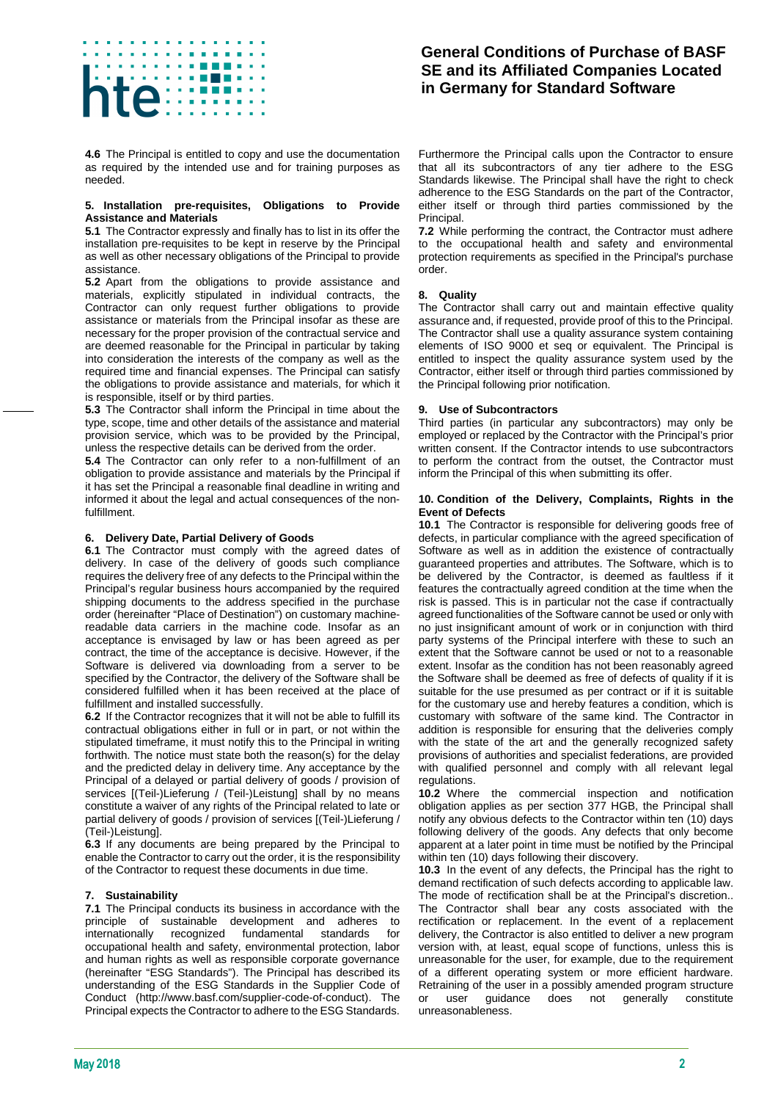# të

**4.6** The Principal is entitled to copy and use the documentation as required by the intended use and for training purposes as needed.

### **5. Installation pre-requisites, Obligations to Provide Assistance and Materials**

**5.1** The Contractor expressly and finally has to list in its offer the installation pre-requisites to be kept in reserve by the Principal as well as other necessary obligations of the Principal to provide assistance.

**5.2** Apart from the obligations to provide assistance and materials, explicitly stipulated in individual contracts, the Contractor can only request further obligations to provide assistance or materials from the Principal insofar as these are necessary for the proper provision of the contractual service and are deemed reasonable for the Principal in particular by taking into consideration the interests of the company as well as the required time and financial expenses. The Principal can satisfy the obligations to provide assistance and materials, for which it is responsible, itself or by third parties.

**5.3** The Contractor shall inform the Principal in time about the type, scope, time and other details of the assistance and material provision service, which was to be provided by the Principal, unless the respective details can be derived from the order.

**5.4** The Contractor can only refer to a non-fulfillment of an obligation to provide assistance and materials by the Principal if it has set the Principal a reasonable final deadline in writing and informed it about the legal and actual consequences of the nonfulfillment.

# **6. Delivery Date, Partial Delivery of Goods**

**6.1** The Contractor must comply with the agreed dates of delivery. In case of the delivery of goods such compliance requires the delivery free of any defects to the Principal within the Principal's regular business hours accompanied by the required shipping documents to the address specified in the purchase order (hereinafter "Place of Destination") on customary machinereadable data carriers in the machine code. Insofar as an acceptance is envisaged by law or has been agreed as per contract, the time of the acceptance is decisive. However, if the Software is delivered via downloading from a server to be specified by the Contractor, the delivery of the Software shall be considered fulfilled when it has been received at the place of fulfillment and installed successfully.

**6.2** If the Contractor recognizes that it will not be able to fulfill its contractual obligations either in full or in part, or not within the stipulated timeframe, it must notify this to the Principal in writing forthwith. The notice must state both the reason(s) for the delay and the predicted delay in delivery time. Any acceptance by the Principal of a delayed or partial delivery of goods / provision of services [(Teil-)Lieferung / (Teil-)Leistung] shall by no means constitute a waiver of any rights of the Principal related to late or partial delivery of goods / provision of services [(Teil-)Lieferung / (Teil-)Leistung].

**6.3** If any documents are being prepared by the Principal to enable the Contractor to carry out the order, it is the responsibility of the Contractor to request these documents in due time.

# **7. Sustainability**

**7.1** The Principal conducts its business in accordance with the principle of sustainable development and adheres to internationally recognized fundamental standards for occupational health and safety, environmental protection, labor and human rights as well as responsible corporate governance (hereinafter "ESG Standards"). The Principal has described its understanding of the ESG Standards in the Supplier Code of Conduct (http://www.basf.com/supplier-code-of-conduct). The Principal expects the Contractor to adhere to the ESG Standards.

# **General Conditions of Purchase of BASF SE and its Affiliated Companies Located in Germany for Standard Software**

Furthermore the Principal calls upon the Contractor to ensure that all its subcontractors of any tier adhere to the ESG Standards likewise. The Principal shall have the right to check adherence to the ESG Standards on the part of the Contractor, either itself or through third parties commissioned by the Principal.

**7.2** While performing the contract, the Contractor must adhere to the occupational health and safety and environmental protection requirements as specified in the Principal's purchase order.

# **8. Quality**

The Contractor shall carry out and maintain effective quality assurance and, if requested, provide proof of this to the Principal. The Contractor shall use a quality assurance system containing elements of ISO 9000 et seq or equivalent. The Principal is entitled to inspect the quality assurance system used by the Contractor, either itself or through third parties commissioned by the Principal following prior notification.

# **9. Use of Subcontractors**

Third parties (in particular any subcontractors) may only be employed or replaced by the Contractor with the Principal's prior written consent. If the Contractor intends to use subcontractors to perform the contract from the outset, the Contractor must inform the Principal of this when submitting its offer.

### **10. Condition of the Delivery, Complaints, Rights in the Event of Defects**

**10.1** The Contractor is responsible for delivering goods free of defects, in particular compliance with the agreed specification of Software as well as in addition the existence of contractually guaranteed properties and attributes. The Software, which is to be delivered by the Contractor, is deemed as faultless if it features the contractually agreed condition at the time when the risk is passed. This is in particular not the case if contractually agreed functionalities of the Software cannot be used or only with no just insignificant amount of work or in conjunction with third party systems of the Principal interfere with these to such an extent that the Software cannot be used or not to a reasonable extent. Insofar as the condition has not been reasonably agreed the Software shall be deemed as free of defects of quality if it is suitable for the use presumed as per contract or if it is suitable for the customary use and hereby features a condition, which is customary with software of the same kind. The Contractor in addition is responsible for ensuring that the deliveries comply with the state of the art and the generally recognized safety provisions of authorities and specialist federations, are provided with qualified personnel and comply with all relevant legal regulations.

**10.2** Where the commercial inspection and notification obligation applies as per section 377 HGB, the Principal shall notify any obvious defects to the Contractor within ten (10) days following delivery of the goods. Any defects that only become apparent at a later point in time must be notified by the Principal within ten (10) days following their discovery.

**10.3** In the event of any defects, the Principal has the right to demand rectification of such defects according to applicable law. The mode of rectification shall be at the Principal's discretion.. The Contractor shall bear any costs associated with the rectification or replacement. In the event of a replacement delivery, the Contractor is also entitled to deliver a new program version with, at least, equal scope of functions, unless this is unreasonable for the user, for example, due to the requirement of a different operating system or more efficient hardware. Retraining of the user in a possibly amended program structure<br>or user guidance does not generally constitute or user guidance does not generally constitute unreasonableness.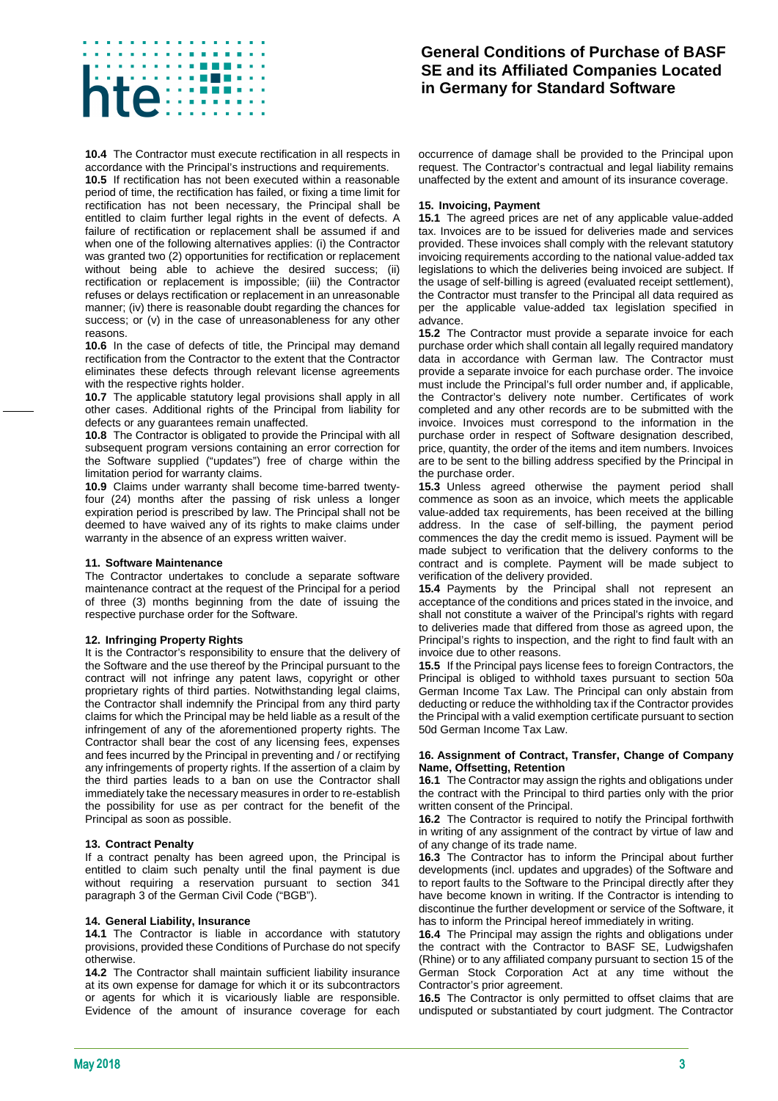# të

**10.4** The Contractor must execute rectification in all respects in accordance with the Principal's instructions and requirements.

**10.5** If rectification has not been executed within a reasonable period of time, the rectification has failed, or fixing a time limit for rectification has not been necessary, the Principal shall be entitled to claim further legal rights in the event of defects. A failure of rectification or replacement shall be assumed if and when one of the following alternatives applies: (i) the Contractor was granted two (2) opportunities for rectification or replacement without being able to achieve the desired success; (ii) rectification or replacement is impossible; (iii) the Contractor refuses or delays rectification or replacement in an unreasonable manner; (iv) there is reasonable doubt regarding the chances for success; or (v) in the case of unreasonableness for any other reasons.

**10.6** In the case of defects of title, the Principal may demand rectification from the Contractor to the extent that the Contractor eliminates these defects through relevant license agreements with the respective rights holder.

**10.7** The applicable statutory legal provisions shall apply in all other cases. Additional rights of the Principal from liability for defects or any guarantees remain unaffected.

**10.8** The Contractor is obligated to provide the Principal with all subsequent program versions containing an error correction for the Software supplied ("updates") free of charge within the limitation period for warranty claims.

**10.9** Claims under warranty shall become time-barred twentyfour (24) months after the passing of risk unless a longer expiration period is prescribed by law. The Principal shall not be deemed to have waived any of its rights to make claims under warranty in the absence of an express written waiver.

# <span id="page-2-0"></span>**11. Software Maintenance**

The Contractor undertakes to conclude a separate software maintenance contract at the request of the Principal for a period of three (3) months beginning from the date of issuing the respective purchase order for the Software.

# **12. Infringing Property Rights**

It is the Contractor's responsibility to ensure that the delivery of the Software and the use thereof by the Principal pursuant to the contract will not infringe any patent laws, copyright or other proprietary rights of third parties. Notwithstanding legal claims, the Contractor shall indemnify the Principal from any third party claims for which the Principal may be held liable as a result of the infringement of any of the aforementioned property rights. The Contractor shall bear the cost of any licensing fees, expenses and fees incurred by the Principal in preventing and / or rectifying any infringements of property rights. If the assertion of a claim by the third parties leads to a ban on use the Contractor shall immediately take the necessary measures in order to re-establish the possibility for use as per contract for the benefit of the Principal as soon as possible.

### **13. Contract Penalty**

If a contract penalty has been agreed upon, the Principal is entitled to claim such penalty until the final payment is due without requiring a reservation pursuant to section 341 paragraph 3 of the German Civil Code ("BGB").

### **14. General Liability, Insurance**

**14.1** The Contractor is liable in accordance with statutory provisions, provided these Conditions of Purchase do not specify otherwise.

**14.2** The Contractor shall maintain sufficient liability insurance at its own expense for damage for which it or its subcontractors or agents for which it is vicariously liable are responsible. Evidence of the amount of insurance coverage for each

# **General Conditions of Purchase of BASF SE and its Affiliated Companies Located in Germany for Standard Software**

occurrence of damage shall be provided to the Principal upon request. The Contractor's contractual and legal liability remains unaffected by the extent and amount of its insurance coverage.

## **15. Invoicing, Payment**

**15.1** The agreed prices are net of any applicable value-added tax. Invoices are to be issued for deliveries made and services provided. These invoices shall comply with the relevant statutory invoicing requirements according to the national value-added tax legislations to which the deliveries being invoiced are subject. If the usage of self-billing is agreed (evaluated receipt settlement), the Contractor must transfer to the Principal all data required as per the applicable value-added tax legislation specified in advance.

**15.2** The Contractor must provide a separate invoice for each purchase order which shall contain all legally required mandatory data in accordance with German law. The Contractor must provide a separate invoice for each purchase order. The invoice must include the Principal's full order number and, if applicable, the Contractor's delivery note number. Certificates of work completed and any other records are to be submitted with the invoice. Invoices must correspond to the information in the purchase order in respect of Software designation described, price, quantity, the order of the items and item numbers. Invoices are to be sent to the billing address specified by the Principal in the purchase order.

**15.3** Unless agreed otherwise the payment period shall commence as soon as an invoice, which meets the applicable value-added tax requirements, has been received at the billing address. In the case of self-billing, the payment period commences the day the credit memo is issued. Payment will be made subject to verification that the delivery conforms to the contract and is complete. Payment will be made subject to verification of the delivery provided.

**15.4** Payments by the Principal shall not represent an acceptance of the conditions and prices stated in the invoice, and shall not constitute a waiver of the Principal's rights with regard to deliveries made that differed from those as agreed upon, the Principal's rights to inspection, and the right to find fault with an invoice due to other reasons.

**15.5** If the Principal pays license fees to foreign Contractors, the Principal is obliged to withhold taxes pursuant to section 50a German Income Tax Law. The Principal can only abstain from deducting or reduce the withholding tax if the Contractor provides the Principal with a valid exemption certificate pursuant to section 50d German Income Tax Law.

### **16. Assignment of Contract, Transfer, Change of Company Name, Offsetting, Retention**

**16.1** The Contractor may assign the rights and obligations under the contract with the Principal to third parties only with the prior written consent of the Principal.

**16.2** The Contractor is required to notify the Principal forthwith in writing of any assignment of the contract by virtue of law and of any change of its trade name.

**16.3** The Contractor has to inform the Principal about further developments (incl. updates and upgrades) of the Software and to report faults to the Software to the Principal directly after they have become known in writing. If the Contractor is intending to discontinue the further development or service of the Software, it has to inform the Principal hereof immediately in writing.

**16.4** The Principal may assign the rights and obligations under the contract with the Contractor to BASF SE, Ludwigshafen (Rhine) or to any affiliated company pursuant to section 15 of the German Stock Corporation Act at any time without the Contractor's prior agreement.

**16.5** The Contractor is only permitted to offset claims that are undisputed or substantiated by court judgment. The Contractor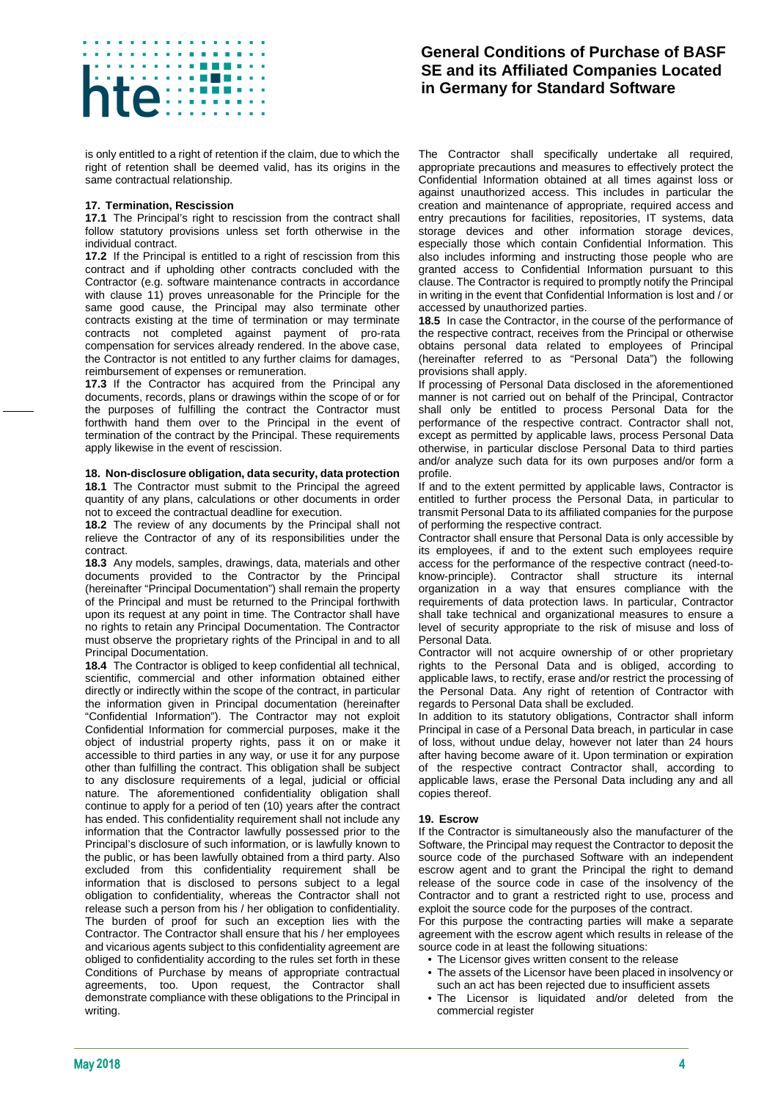

is only entitled to a right of retention if the claim, due to which the right of retention shall be deemed valid, has its origins in the same contractual relationship.

## **17. Termination, Rescission**

**17.1** The Principal's right to rescission from the contract shall follow statutory provisions unless set forth otherwise in the individual contract.

**17.2** If the Principal is entitled to a right of rescission from this contract and if upholding other contracts concluded with the Contractor (e.g. software maintenance contracts in accordance with clause [11\)](#page-2-0) proves unreasonable for the Principle for the same good cause, the Principal may also terminate other contracts existing at the time of termination or may terminate contracts not completed against payment of pro-rata compensation for services already rendered. In the above case, the Contractor is not entitled to any further claims for damages, reimbursement of expenses or remuneration.

**17.3** If the Contractor has acquired from the Principal any documents, records, plans or drawings within the scope of or for the purposes of fulfilling the contract the Contractor must forthwith hand them over to the Principal in the event of termination of the contract by the Principal. These requirements apply likewise in the event of rescission.

### **18. Non-disclosure obligation, data security, data protection**

**18.1** The Contractor must submit to the Principal the agreed quantity of any plans, calculations or other documents in order not to exceed the contractual deadline for execution.

**18.2** The review of any documents by the Principal shall not relieve the Contractor of any of its responsibilities under the contract.

**18.3** Any models, samples, drawings, data, materials and other documents provided to the Contractor by the Principal (hereinafter "Principal Documentation") shall remain the property of the Principal and must be returned to the Principal forthwith upon its request at any point in time. The Contractor shall have no rights to retain any Principal Documentation. The Contractor must observe the proprietary rights of the Principal in and to all Principal Documentation.

**18.4** The Contractor is obliged to keep confidential all technical, scientific, commercial and other information obtained either directly or indirectly within the scope of the contract, in particular the information given in Principal documentation (hereinafter "Confidential Information"). The Contractor may not exploit Confidential Information for commercial purposes, make it the object of industrial property rights, pass it on or make it accessible to third parties in any way, or use it for any purpose other than fulfilling the contract. This obligation shall be subject to any disclosure requirements of a legal, judicial or official nature. The aforementioned confidentiality obligation shall continue to apply for a period of ten (10) years after the contract has ended. This confidentiality requirement shall not include any information that the Contractor lawfully possessed prior to the Principal's disclosure of such information, or is lawfully known to the public, or has been lawfully obtained from a third party. Also excluded from this confidentiality requirement shall be information that is disclosed to persons subject to a legal obligation to confidentiality, whereas the Contractor shall not release such a person from his / her obligation to confidentiality. The burden of proof for such an exception lies with the Contractor. The Contractor shall ensure that his / her employees and vicarious agents subject to this confidentiality agreement are obliged to confidentiality according to the rules set forth in these Conditions of Purchase by means of appropriate contractual agreements, too. Upon request, the Contractor shall demonstrate compliance with these obligations to the Principal in writing.

# **General Conditions of Purchase of BASF SE and its Affiliated Companies Located in Germany for Standard Software**

The Contractor shall specifically undertake all required, appropriate precautions and measures to effectively protect the Confidential Information obtained at all times against loss or against unauthorized access. This includes in particular the creation and maintenance of appropriate, required access and entry precautions for facilities, repositories, IT systems, data storage devices and other information storage devices, especially those which contain Confidential Information. This also includes informing and instructing those people who are granted access to Confidential Information pursuant to this clause. The Contractor is required to promptly notify the Principal in writing in the event that Confidential Information is lost and / or accessed by unauthorized parties.

**18.5** In case the Contractor, in the course of the performance of the respective contract, receives from the Principal or otherwise obtains personal data related to employees of Principal (hereinafter referred to as "Personal Data") the following provisions shall apply.

If processing of Personal Data disclosed in the aforementioned manner is not carried out on behalf of the Principal, Contractor shall only be entitled to process Personal Data for the performance of the respective contract. Contractor shall not, except as permitted by applicable laws, process Personal Data otherwise, in particular disclose Personal Data to third parties and/or analyze such data for its own purposes and/or form a profile.

If and to the extent permitted by applicable laws, Contractor is entitled to further process the Personal Data, in particular to transmit Personal Data to its affiliated companies for the purpose of performing the respective contract.

Contractor shall ensure that Personal Data is only accessible by its employees, if and to the extent such employees require access for the performance of the respective contract (need-toknow-principle). Contractor shall structure its internal organization in a way that ensures compliance with the requirements of data protection laws. In particular, Contractor shall take technical and organizational measures to ensure a level of security appropriate to the risk of misuse and loss of Personal Data.

Contractor will not acquire ownership of or other proprietary rights to the Personal Data and is obliged, according to applicable laws, to rectify, erase and/or restrict the processing of the Personal Data. Any right of retention of Contractor with regards to Personal Data shall be excluded.

In addition to its statutory obligations, Contractor shall inform Principal in case of a Personal Data breach, in particular in case of loss, without undue delay, however not later than 24 hours after having become aware of it. Upon termination or expiration of the respective contract Contractor shall, according to applicable laws, erase the Personal Data including any and all copies thereof.

### **19. Escrow**

If the Contractor is simultaneously also the manufacturer of the Software, the Principal may request the Contractor to deposit the source code of the purchased Software with an independent escrow agent and to grant the Principal the right to demand release of the source code in case of the insolvency of the Contractor and to grant a restricted right to use, process and exploit the source code for the purposes of the contract.

For this purpose the contracting parties will make a separate agreement with the escrow agent which results in release of the source code in at least the following situations:

- The Licensor gives written consent to the release
- The assets of the Licensor have been placed in insolvency or such an act has been rejected due to insufficient assets
- The Licensor is liquidated and/or deleted from the commercial register